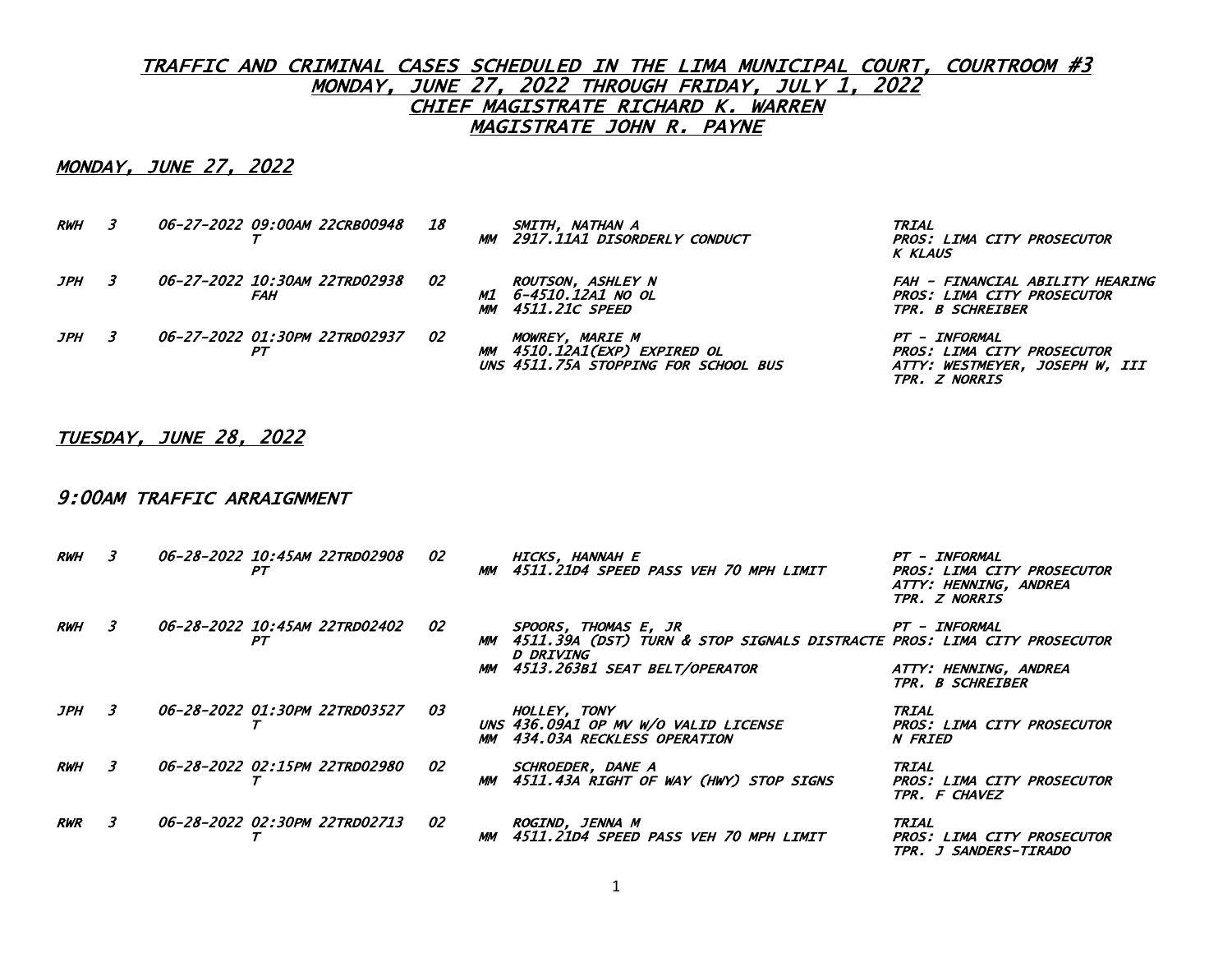## MONDAY, JUNE 27, 2022

| <i><b>RWH</b></i> | <i>06-27-2022 09:00AM 22CRB00948</i> | 18 | SMITH, NATHAN A<br>MM 2917.11A1 DISORDERLY CONDUCT                                             | <b>TRIAL</b><br>PROS: LIMA CITY PROSECUTOR<br><b>K KLAUS</b>                                    |
|-------------------|--------------------------------------|----|------------------------------------------------------------------------------------------------|-------------------------------------------------------------------------------------------------|
| JPH               | 06-27-2022 10:30AM 22TRD02938<br>FAH | 02 | <b>ROUTSON, ASHLEY N</b><br>M1 6-4510.12A1 NO OL<br><i>4511.21C SPEED</i><br>MM .              | FAH - FINANCIAL ABILITY HEARING<br>PROS: LIMA CITY PROSECUTOR<br><i><b>TPR. B SCHREIBER</b></i> |
| JPH               | 06-27-2022 01:30PM 22TRD02937        | 02 | <i>MOWREY, MARIE M</i><br>MM 4510.12A1(EXP) EXPIRED OL<br>UNS 4511.75A STOPPING FOR SCHOOL BUS | PT - INFORMAL<br>PROS: LIMA CITY PROSECUTOR<br>ATTY: WESTMEYER, JOSEPH W, III<br>TPR. Z NORRIS  |

### TUESDAY, JUNE 28, 2022

#### 9:00AM TRAFFIC ARRAIGNMENT

| <i><b>RWH</b></i> | 3 | 06-28-2022 10:45AM 22TRD02908<br>PТ         | 02 | MM .       | HICKS, HANNAH E<br>4511.21D4 SPEED PASS VEH 70 MPH LIMIT                                                                                      | PT - INFORMAL<br>PROS: LIMA CITY PROSECUTOR<br>ATTY: HENNING, ANDREA<br>TPR. Z NORRIS |
|-------------------|---|---------------------------------------------|----|------------|-----------------------------------------------------------------------------------------------------------------------------------------------|---------------------------------------------------------------------------------------|
| RWH               |   | <i>06-28-2022 10:45AM 22TRD02402</i><br>PT. | 02 | MM<br>MM . | SPOORS, THOMAS E, JR<br>4511.39A (DST) TURN & STOP SIGNALS DISTRACTE PROS: LIMA CITY PROSECUTOR<br>D DRIVING<br>4513.263B1 SEAT BELT/OPERATOR | PT - INFORMAL<br>ATTY: HENNING, ANDREA<br>TPR. B SCHREIBER                            |
| JPH               | 3 | 06-28-2022 01:30PM 22TRD03527               | 03 | <b>MM</b>  | HOLLEY, TONY<br>UNS 436.09A1 OP MV W/O VALID LICENSE<br>434.03A RECKLESS OPERATION                                                            | TRIAL<br><b>PROS: LIMA CITY PROSECUTOR</b><br><i>N FRIED</i>                          |
| <i><b>RWH</b></i> | 3 | 06-28-2022 02:15PM 22TRD02980               | 02 | MМ         | SCHROEDER, DANE A<br>4511.43A RIGHT OF WAY (HWY) STOP SIGNS                                                                                   | TRIAL<br>PROS: LIMA CITY PROSECUTOR<br>TPR. F CHAVEZ                                  |
| <b>RWR</b>        | 3 | 06-28-2022 02:30PM 22TRD02713               | 02 | MМ         | ROGIND, JENNA M<br>4511.21D4 SPEED PASS VEH 70 MPH LIMIT                                                                                      | <b>TRIAL</b><br>PROS: LIMA CITY PROSECUTOR<br>TPR. J SANDERS-TIRADO                   |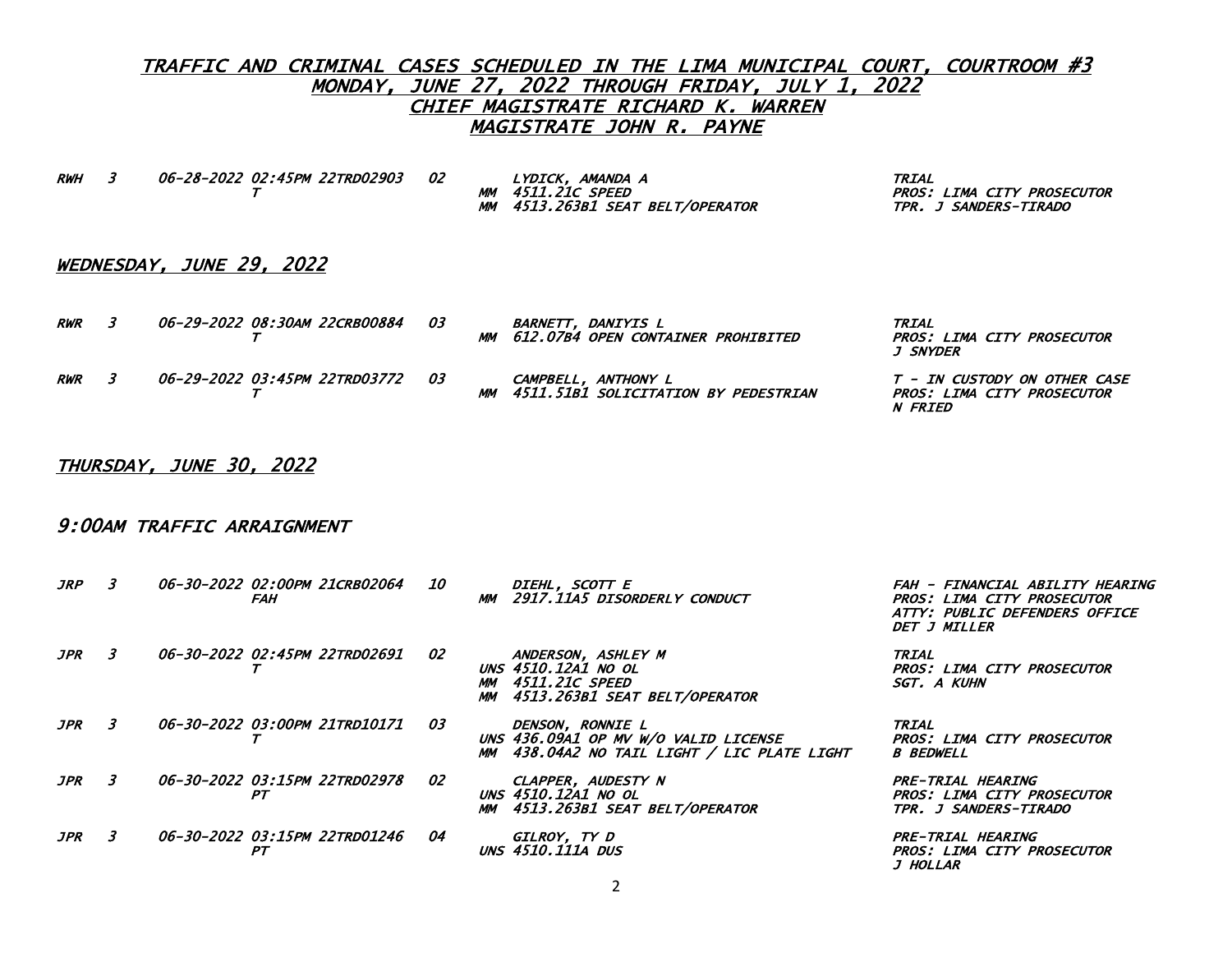RWH 3 06-28-2022 02:45PM 22TRD02903 02 LYDICK, AMANDA A TRIAL

MM 4513.263B1 SEAT BELT/OPERATOR TPR. J SANDERS-TIRADO

PROS: LIMA CITY PROSECUTOR

# WEDNESDAY, JUNE 29, 2022

| <b>RWR</b> | 06-29-2022 08:30AM 22CRB00884    | - 03 |           | <i>BARNETT. DANIYIS L</i><br>MM 612.07B4 OPEN CONTAINER PROHIBITED | <i><b>TRIAL</b></i><br>PROS: LIMA CITY PROSECUTOR<br><i>J SNYDER</i>         |
|------------|----------------------------------|------|-----------|--------------------------------------------------------------------|------------------------------------------------------------------------------|
| <b>RWR</b> | 06-29-2022 03:45PM 22TRD03772 03 |      | <b>MM</b> | CAMPBELL, ANTHONY L<br>4511.51B1 SOLICITATION BY PEDESTRIAN        | T - IN CUSTODY ON OTHER CASE<br>PROS: LIMA CITY PROSECUTOR<br><i>N FRIED</i> |

### THURSDAY, JUNE 30, 2022

### 9:00AM TRAFFIC ARRAIGNMENT

| <i><b>JRP</b></i> | 3. | 06-30-2022 02:00PM 21CRB02064 | <i>FAH</i> | <i>10</i> | MM | DIEHL, SCOTT E<br>2917.11A5 DISORDERLY CONDUCT                                                            | FAH - FINANCIAL ABILITY HEARING<br>PROS: LIMA CITY PROSECUTOR<br>ATTY: PUBLIC DEFENDERS OFFICE<br>DET J MILLER |
|-------------------|----|-------------------------------|------------|-----------|----|-----------------------------------------------------------------------------------------------------------|----------------------------------------------------------------------------------------------------------------|
| <i><b>JPR</b></i> |    | 06-30-2022 02:45PM 22TRD02691 |            | 02        |    | ANDERSON, ASHLEY M<br>UNS 4510.12A1 NO OL<br><b>MM 4511.21C SPEED</b><br>MM 4513,263B1 SEAT BELT/OPERATOR | TRIAL<br><b>PROS: LIMA CITY PROSECUTOR</b><br>SGT, A KUHN                                                      |
| <i><b>JPR</b></i> | 3. | 06-30-2022 03:00PM 21TRD10171 |            | 03        |    | DENSON, RONNIE L<br>UNS 436.09A1 OP MV W/O VALID LICENSE<br>MM 438.04A2 NO TAIL LIGHT / LIC PLATE LIGHT   | <b>TRIAL</b><br>PROS: LIMA CITY PROSECUTOR<br><b>B BEDWELL</b>                                                 |
| <i><b>JPR</b></i> | 3  | 06-30-2022 03:15PM 22TRD02978 | PТ         | 02        |    | CLAPPER, AUDESTY N<br><b>UNS 4510.12A1 NO OL</b><br>MM 4513.263B1 SEAT BELT/OPERATOR                      | PRE-TRIAL HEARING<br><b>PROS: LIMA CITY PROSECUTOR</b><br>TPR. J SANDERS-TIRADO                                |
| <i>JPR</i>        | 3. | 06-30-2022 03:15PM 22TRD01246 | PТ         | 04        |    | GILROY, TY D<br><b>UNS 4510.111A DUS</b>                                                                  | PRE-TRIAL HEARING<br>PROS: LIMA CITY PROSECUTOR<br><i>J HOLLAR</i>                                             |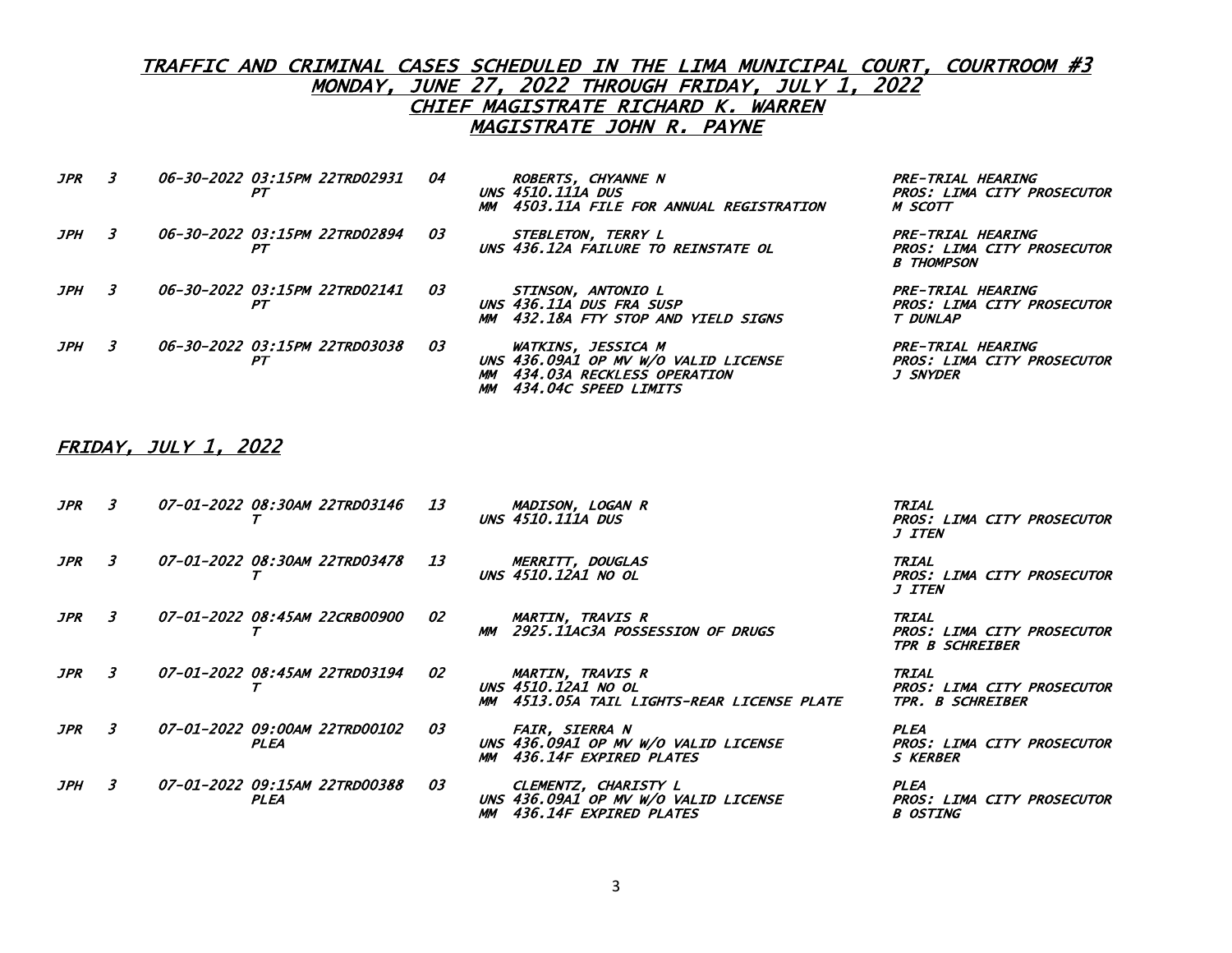| <i>JPR</i> | 3 | <i>06-30-2022 03:15PM 22TRD02931</i><br>PТ | 04 | <b>ROBERTS, CHYANNE N</b><br><b>UNS 4510.111A DUS</b><br>4503.11A FILE FOR ANNUAL REGISTRATION                      | PRE-TRIAL HEARING<br>PROS: LIMA CITY PROSECUTOR<br>M SCOTT                |
|------------|---|--------------------------------------------|----|---------------------------------------------------------------------------------------------------------------------|---------------------------------------------------------------------------|
| JPH        | 3 | 06-30-2022 03:15PM 22TRD02894<br>РT        | 03 | STEBLETON, TERRY L<br>UNS 436.12A FAILURE TO REINSTATE OL                                                           | PRE-TRIAL HEARING<br>PROS: LIMA CITY PROSECUTOR<br><b>B THOMPSON</b>      |
| JPH        | 3 | 06-30-2022 03:15PM 22TRD02141<br>PТ        | 03 | STINSON, ANTONIO L<br>UNS 436.11A DUS FRA SUSP<br>MM 432.18A FTY STOP AND YIELD SIGNS                               | PRE-TRIAL HEARING<br>PROS: LIMA CITY PROSECUTOR<br>T DUNLAP               |
| JPH        | 3 | 06-30-2022 03:15PM 22TRD03038<br>PТ        | 03 | WATKINS, JESSICA M<br>UNS 436.09A1 OP MV W/O VALID LICENSE<br>434.03A RECKLESS OPERATION<br>MM 434.04C SPEED LIMITS | PRE-TRIAL HEARING<br><b>PROS: LIMA CITY PROSECUTOR</b><br><i>J SNYDER</i> |

#### FRIDAY, JULY 1, 2022

| JPR               | 3  | 07-01-2022 08:30AM 22TRD03146                | 13        | MADISON, LOGAN R<br><b>UNS 4510.111A DUS</b>                                                      | <b>TRIAL</b><br>PROS: LIMA CITY PROSECUTOR<br><i>J ITEN</i>                |
|-------------------|----|----------------------------------------------|-----------|---------------------------------------------------------------------------------------------------|----------------------------------------------------------------------------|
| <b>JPR</b>        | 3  | <i>07-01-2022 08:30AM 22TRD03478</i>         | <b>13</b> | MERRITT, DOUGLAS<br>UNS 4510.12A1 NO OL                                                           | TRIAL<br><b>PROS: LIMA CITY PROSECUTOR</b><br><i>J ITEN</i>                |
| <i><b>JPR</b></i> | 3  | <i>07-01-2022 08:45AM 22CRB00900</i>         | 02        | <b>MARTIN, TRAVIS R</b><br>2925.11AC3A POSSESSION OF DRUGS                                        | TRIAL<br>PROS: LIMA CITY PROSECUTOR<br><b>TPR B SCHREIBER</b>              |
| <b>JPR</b>        | 3  | <i>07-01-2022 08:45AM 22TRD03194</i>         | 02        | <b>MARTIN, TRAVIS R</b><br>UNS 4510.12A1 NO OL<br>4513.05A TAIL LIGHTS-REAR LICENSE PLATE<br>MM . | <b>TRIAL</b><br>PROS: LIMA CITY PROSECUTOR<br>TPR. B SCHREIBER             |
| JPR               | 3  | 07-01-2022 09:00AM 22TRD00102<br><b>PLEA</b> | 03        | <i>FAIR, SIERRA N</i><br>UNS 436.09A1 OP MV W/O VALID LICENSE<br>MM 436.14F EXPIRED PLATES        | PLEA<br><b>PROS: LIMA CITY PROSECUTOR</b><br>S <b>KERBER</b>               |
| JPH               | 3. | <i>07-01-2022 09:15AM 22TRD00388</i><br>PLEA | 03        | CLEMENTZ, CHARISTY L<br>UNS 436.09A1 OP MV W/O VALID LICENSE<br>436.14F EXPIRED PLATES<br>MМ      | <b>PLEA</b><br><b>PROS: LIMA CITY PROSECUTOR</b><br><i><b>B OSTING</b></i> |